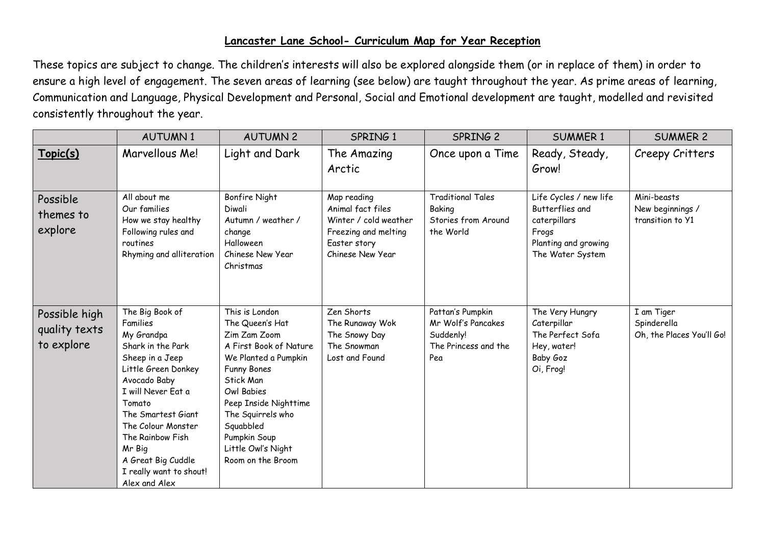## **Lancaster Lane School- Curriculum Map for Year Reception**

These topics are subject to change. The children's interests will also be explored alongside them (or in replace of them) in order to ensure a high level of engagement. The seven areas of learning (see below) are taught throughout the year. As prime areas of learning, Communication and Language, Physical Development and Personal, Social and Emotional development are taught, modelled and revisited consistently throughout the year.

|                                              | <b>AUTUMN1</b>                                                                                                                                                                                                                                                                                       | <b>AUTUMN 2</b>                                                                                                                                                                                                                                                                   | SPRING 1                                                                                                              | SPRING 2                                                                           | <b>SUMMER 1</b>                                                                                                | <b>SUMMER 2</b>                                        |
|----------------------------------------------|------------------------------------------------------------------------------------------------------------------------------------------------------------------------------------------------------------------------------------------------------------------------------------------------------|-----------------------------------------------------------------------------------------------------------------------------------------------------------------------------------------------------------------------------------------------------------------------------------|-----------------------------------------------------------------------------------------------------------------------|------------------------------------------------------------------------------------|----------------------------------------------------------------------------------------------------------------|--------------------------------------------------------|
| Topic(s)                                     | Marvellous Me!                                                                                                                                                                                                                                                                                       | Light and Dark                                                                                                                                                                                                                                                                    | The Amazing<br>Arctic                                                                                                 | Once upon a Time                                                                   | Ready, Steady,<br>Grow!                                                                                        | Creepy Critters                                        |
| Possible<br>themes to<br>explore             | All about me<br>Our families<br>How we stay healthy<br>Following rules and<br>routines<br>Rhyming and alliteration                                                                                                                                                                                   | <b>Bonfire Night</b><br>Diwali<br>Autumn / weather /<br>change<br>Halloween<br>Chinese New Year<br>Christmas                                                                                                                                                                      | Map reading<br>Animal fact files<br>Winter / cold weather<br>Freezing and melting<br>Easter story<br>Chinese New Year | <b>Traditional Tales</b><br>Baking<br>Stories from Around<br>the World             | Life Cycles / new life<br>Butterflies and<br>caterpillars<br>Frogs<br>Planting and growing<br>The Water System | Mini-beasts<br>New beginnings /<br>transition to Y1    |
| Possible high<br>quality texts<br>to explore | The Big Book of<br>Families<br>My Grandpa<br>Shark in the Park<br>Sheep in a Jeep<br>Little Green Donkey<br>Avocado Baby<br>I will Never Eat a<br>Tomato<br>The Smartest Giant<br>The Colour Monster<br>The Rainbow Fish<br>Mr Big<br>A Great Big Cuddle<br>I really want to shout!<br>Alex and Alex | This is London<br>The Queen's Hat<br>Zim Zam Zoom<br>A First Book of Nature<br>We Planted a Pumpkin<br><b>Funny Bones</b><br><b>Stick Man</b><br>Owl Babies<br>Peep Inside Nighttime<br>The Squirrels who<br>Squabbled<br>Pumpkin Soup<br>Little Owl's Night<br>Room on the Broom | Zen Shorts<br>The Runaway Wok<br>The Snowy Day<br>The Snowman<br>Lost and Found                                       | Pattan's Pumpkin<br>Mr Wolf's Pancakes<br>Suddenly!<br>The Princess and the<br>Pea | The Very Hungry<br>Caterpillar<br>The Perfect Sofa<br>Hey, water!<br>Baby Goz<br>Oi, Frog!                     | I am Tiger<br>Spinderella<br>Oh, the Places You'll Go! |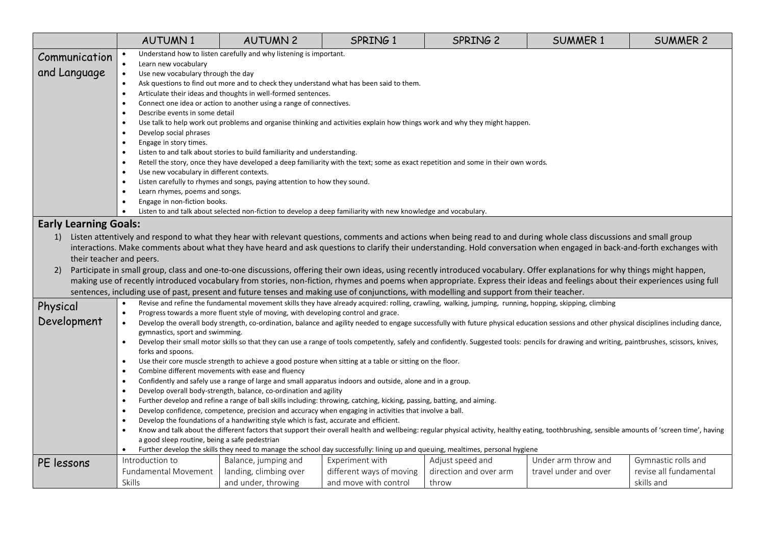|                                                                                                                                | <b>AUTUMN1</b>                                                                                                                                                                                                                                                                                       | <b>AUTUMN 2</b>                                                                    | SPRING 1                                                                                                                                                                                    | SPRING 2               | <b>SUMMER 1</b>       | <b>SUMMER 2</b>        |  |  |
|--------------------------------------------------------------------------------------------------------------------------------|------------------------------------------------------------------------------------------------------------------------------------------------------------------------------------------------------------------------------------------------------------------------------------------------------|------------------------------------------------------------------------------------|---------------------------------------------------------------------------------------------------------------------------------------------------------------------------------------------|------------------------|-----------------------|------------------------|--|--|
| Communication                                                                                                                  | Understand how to listen carefully and why listening is important.                                                                                                                                                                                                                                   |                                                                                    |                                                                                                                                                                                             |                        |                       |                        |  |  |
| and Language                                                                                                                   | Learn new vocabulary<br>Use new vocabulary through the day<br>$\bullet$                                                                                                                                                                                                                              |                                                                                    |                                                                                                                                                                                             |                        |                       |                        |  |  |
|                                                                                                                                | Ask questions to find out more and to check they understand what has been said to them.<br>$\bullet$                                                                                                                                                                                                 |                                                                                    |                                                                                                                                                                                             |                        |                       |                        |  |  |
|                                                                                                                                |                                                                                                                                                                                                                                                                                                      | Articulate their ideas and thoughts in well-formed sentences.                      |                                                                                                                                                                                             |                        |                       |                        |  |  |
|                                                                                                                                | $\bullet$                                                                                                                                                                                                                                                                                            | Connect one idea or action to another using a range of connectives.                |                                                                                                                                                                                             |                        |                       |                        |  |  |
|                                                                                                                                | Describe events in some detail                                                                                                                                                                                                                                                                       |                                                                                    |                                                                                                                                                                                             |                        |                       |                        |  |  |
|                                                                                                                                | $\bullet$                                                                                                                                                                                                                                                                                            |                                                                                    | Use talk to help work out problems and organise thinking and activities explain how things work and why they might happen.                                                                  |                        |                       |                        |  |  |
|                                                                                                                                | Develop social phrases<br>Engage in story times.                                                                                                                                                                                                                                                     |                                                                                    |                                                                                                                                                                                             |                        |                       |                        |  |  |
|                                                                                                                                |                                                                                                                                                                                                                                                                                                      | Listen to and talk about stories to build familiarity and understanding.           |                                                                                                                                                                                             |                        |                       |                        |  |  |
|                                                                                                                                |                                                                                                                                                                                                                                                                                                      |                                                                                    | Retell the story, once they have developed a deep familiarity with the text; some as exact repetition and some in their own words.                                                          |                        |                       |                        |  |  |
|                                                                                                                                | Use new vocabulary in different contexts.                                                                                                                                                                                                                                                            |                                                                                    |                                                                                                                                                                                             |                        |                       |                        |  |  |
|                                                                                                                                |                                                                                                                                                                                                                                                                                                      | Listen carefully to rhymes and songs, paying attention to how they sound.          |                                                                                                                                                                                             |                        |                       |                        |  |  |
|                                                                                                                                | Learn rhymes, poems and songs.                                                                                                                                                                                                                                                                       |                                                                                    |                                                                                                                                                                                             |                        |                       |                        |  |  |
|                                                                                                                                | Engage in non-fiction books.                                                                                                                                                                                                                                                                         |                                                                                    |                                                                                                                                                                                             |                        |                       |                        |  |  |
|                                                                                                                                |                                                                                                                                                                                                                                                                                                      |                                                                                    | Listen to and talk about selected non-fiction to develop a deep familiarity with new knowledge and vocabulary.                                                                              |                        |                       |                        |  |  |
| <b>Early Learning Goals:</b>                                                                                                   |                                                                                                                                                                                                                                                                                                      |                                                                                    |                                                                                                                                                                                             |                        |                       |                        |  |  |
| 1)                                                                                                                             | Listen attentively and respond to what they hear with relevant questions, comments and actions when being read to and during whole class discussions and small group                                                                                                                                 |                                                                                    |                                                                                                                                                                                             |                        |                       |                        |  |  |
|                                                                                                                                | interactions. Make comments about what they have heard and ask questions to clarify their understanding. Hold conversation when engaged in back-and-forth exchanges with                                                                                                                             |                                                                                    |                                                                                                                                                                                             |                        |                       |                        |  |  |
|                                                                                                                                | their teacher and peers.                                                                                                                                                                                                                                                                             |                                                                                    |                                                                                                                                                                                             |                        |                       |                        |  |  |
| 2)                                                                                                                             | Participate in small group, class and one-to-one discussions, offering their own ideas, using recently introduced vocabulary. Offer explanations for why things might happen,                                                                                                                        |                                                                                    |                                                                                                                                                                                             |                        |                       |                        |  |  |
|                                                                                                                                | making use of recently introduced vocabulary from stories, non-fiction, rhymes and poems when appropriate. Express their ideas and feelings about their experiences using full                                                                                                                       |                                                                                    |                                                                                                                                                                                             |                        |                       |                        |  |  |
|                                                                                                                                | sentences, including use of past, present and future tenses and making use of conjunctions, with modelling and support from their teacher.                                                                                                                                                           |                                                                                    |                                                                                                                                                                                             |                        |                       |                        |  |  |
| Physical                                                                                                                       |                                                                                                                                                                                                                                                                                                      |                                                                                    | Revise and refine the fundamental movement skills they have already acquired: rolling, crawling, walking, jumping, running, hopping, skipping, climbing                                     |                        |                       |                        |  |  |
|                                                                                                                                |                                                                                                                                                                                                                                                                                                      | Progress towards a more fluent style of moving, with developing control and grace. |                                                                                                                                                                                             |                        |                       |                        |  |  |
| Development                                                                                                                    | $\bullet$<br>gymnastics, sport and swimming.                                                                                                                                                                                                                                                         |                                                                                    | Develop the overall body strength, co-ordination, balance and agility needed to engage successfully with future physical education sessions and other physical disciplines including dance, |                        |                       |                        |  |  |
|                                                                                                                                | $\bullet$                                                                                                                                                                                                                                                                                            |                                                                                    |                                                                                                                                                                                             |                        |                       |                        |  |  |
|                                                                                                                                | Develop their small motor skills so that they can use a range of tools competently, safely and confidently. Suggested tools: pencils for drawing and writing, paintbrushes, scissors, knives,<br>forks and spoons.                                                                                   |                                                                                    |                                                                                                                                                                                             |                        |                       |                        |  |  |
| Use their core muscle strength to achieve a good posture when sitting at a table or sitting on the floor.                      |                                                                                                                                                                                                                                                                                                      |                                                                                    |                                                                                                                                                                                             |                        |                       |                        |  |  |
| Combine different movements with ease and fluency<br>$\bullet$                                                                 |                                                                                                                                                                                                                                                                                                      |                                                                                    |                                                                                                                                                                                             |                        |                       |                        |  |  |
|                                                                                                                                | Confidently and safely use a range of large and small apparatus indoors and outside, alone and in a group.<br>$\bullet$                                                                                                                                                                              |                                                                                    |                                                                                                                                                                                             |                        |                       |                        |  |  |
|                                                                                                                                | Develop overall body-strength, balance, co-ordination and agility                                                                                                                                                                                                                                    |                                                                                    |                                                                                                                                                                                             |                        |                       |                        |  |  |
|                                                                                                                                | Further develop and refine a range of ball skills including: throwing, catching, kicking, passing, batting, and aiming.<br>$\bullet$                                                                                                                                                                 |                                                                                    |                                                                                                                                                                                             |                        |                       |                        |  |  |
|                                                                                                                                | Develop confidence, competence, precision and accuracy when engaging in activities that involve a ball.                                                                                                                                                                                              |                                                                                    |                                                                                                                                                                                             |                        |                       |                        |  |  |
|                                                                                                                                | Develop the foundations of a handwriting style which is fast, accurate and efficient.<br>$\bullet$<br>Know and talk about the different factors that support their overall health and wellbeing: regular physical activity, healthy eating, toothbrushing, sensible amounts of 'screen time', having |                                                                                    |                                                                                                                                                                                             |                        |                       |                        |  |  |
|                                                                                                                                | a good sleep routine, being a safe pedestrian                                                                                                                                                                                                                                                        |                                                                                    |                                                                                                                                                                                             |                        |                       |                        |  |  |
| Further develop the skills they need to manage the school day successfully: lining up and queuing, mealtimes, personal hygiene |                                                                                                                                                                                                                                                                                                      |                                                                                    |                                                                                                                                                                                             |                        |                       |                        |  |  |
| PE lessons                                                                                                                     | Introduction to                                                                                                                                                                                                                                                                                      | Balance, jumping and                                                               | Experiment with                                                                                                                                                                             | Adjust speed and       | Under arm throw and   | Gymnastic rolls and    |  |  |
|                                                                                                                                | Fundamental Movement                                                                                                                                                                                                                                                                                 | landing, climbing over                                                             | different ways of moving                                                                                                                                                                    | direction and over arm | travel under and over | revise all fundamental |  |  |
|                                                                                                                                | Skills                                                                                                                                                                                                                                                                                               | and under, throwing                                                                | and move with control                                                                                                                                                                       | throw                  |                       | skills and             |  |  |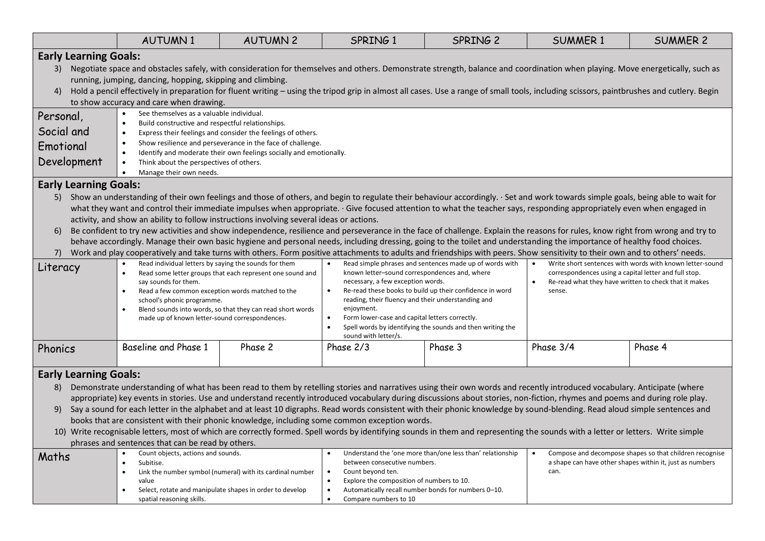|                                                                                                                                                                                                                                                                                                                                                                                                                                                                                                                                                                                                                                                                                                                                                                                                                                                                                                                                                                                                                                                                                                                                                                                                                                                                                                                                                                                                                                                                                                                                                                                                                                                                                                                                                                                                                                                                                                                                                                                                                                                                            | <b>AUTUMN1</b>                                                                                                                                                                                                                                                                                                                                                                                                                                                                                                                                                                                                                                                                                                                                                                                                                                                                 | <b>AUTUMN 2</b> | SPRING 1                                                                                                                                                                                                                                                                           | SPRING 2 | <b>SUMMER 1</b>                                                                                                             | <b>SUMMER 2</b> |  |  |
|----------------------------------------------------------------------------------------------------------------------------------------------------------------------------------------------------------------------------------------------------------------------------------------------------------------------------------------------------------------------------------------------------------------------------------------------------------------------------------------------------------------------------------------------------------------------------------------------------------------------------------------------------------------------------------------------------------------------------------------------------------------------------------------------------------------------------------------------------------------------------------------------------------------------------------------------------------------------------------------------------------------------------------------------------------------------------------------------------------------------------------------------------------------------------------------------------------------------------------------------------------------------------------------------------------------------------------------------------------------------------------------------------------------------------------------------------------------------------------------------------------------------------------------------------------------------------------------------------------------------------------------------------------------------------------------------------------------------------------------------------------------------------------------------------------------------------------------------------------------------------------------------------------------------------------------------------------------------------------------------------------------------------------------------------------------------------|--------------------------------------------------------------------------------------------------------------------------------------------------------------------------------------------------------------------------------------------------------------------------------------------------------------------------------------------------------------------------------------------------------------------------------------------------------------------------------------------------------------------------------------------------------------------------------------------------------------------------------------------------------------------------------------------------------------------------------------------------------------------------------------------------------------------------------------------------------------------------------|-----------------|------------------------------------------------------------------------------------------------------------------------------------------------------------------------------------------------------------------------------------------------------------------------------------|----------|-----------------------------------------------------------------------------------------------------------------------------|-----------------|--|--|
| <b>Early Learning Goals:</b><br>3)<br>4)<br>Personal,                                                                                                                                                                                                                                                                                                                                                                                                                                                                                                                                                                                                                                                                                                                                                                                                                                                                                                                                                                                                                                                                                                                                                                                                                                                                                                                                                                                                                                                                                                                                                                                                                                                                                                                                                                                                                                                                                                                                                                                                                      | Negotiate space and obstacles safely, with consideration for themselves and others. Demonstrate strength, balance and coordination when playing. Move energetically, such as<br>running, jumping, dancing, hopping, skipping and climbing.<br>Hold a pencil effectively in preparation for fluent writing - using the tripod grip in almost all cases. Use a range of small tools, including scissors, paintbrushes and cutlery. Begin<br>to show accuracy and care when drawing.<br>See themselves as a valuable individual.                                                                                                                                                                                                                                                                                                                                                  |                 |                                                                                                                                                                                                                                                                                    |          |                                                                                                                             |                 |  |  |
| Social and<br>Emotional<br>Development                                                                                                                                                                                                                                                                                                                                                                                                                                                                                                                                                                                                                                                                                                                                                                                                                                                                                                                                                                                                                                                                                                                                                                                                                                                                                                                                                                                                                                                                                                                                                                                                                                                                                                                                                                                                                                                                                                                                                                                                                                     | Build constructive and respectful relationships.<br>Express their feelings and consider the feelings of others.<br>Show resilience and perseverance in the face of challenge.<br>Identify and moderate their own feelings socially and emotionally.<br>Think about the perspectives of others.                                                                                                                                                                                                                                                                                                                                                                                                                                                                                                                                                                                 |                 |                                                                                                                                                                                                                                                                                    |          |                                                                                                                             |                 |  |  |
| Manage their own needs.<br><b>Early Learning Goals:</b><br>Show an understanding of their own feelings and those of others, and begin to regulate their behaviour accordingly. · Set and work towards simple goals, being able to wait for<br>5)<br>what they want and control their immediate impulses when appropriate. · Give focused attention to what the teacher says, responding appropriately even when engaged in<br>activity, and show an ability to follow instructions involving several ideas or actions.<br>Be confident to try new activities and show independence, resilience and perseverance in the face of challenge. Explain the reasons for rules, know right from wrong and try to<br>6)<br>behave accordingly. Manage their own basic hygiene and personal needs, including dressing, going to the toilet and understanding the importance of healthy food choices.<br>Work and play cooperatively and take turns with others. Form positive attachments to adults and friendships with peers. Show sensitivity to their own and to others' needs.<br>7)<br>Read individual letters by saying the sounds for them<br>Read simple phrases and sentences made up of words with<br>Write short sentences with words with known letter-sound<br>$\bullet$<br>Literacy<br>known letter-sound correspondences and, where<br>correspondences using a capital letter and full stop.<br>Read some letter groups that each represent one sound and<br>necessary, a few exception words.<br>say sounds for them.<br>Re-read what they have written to check that it makes<br>Re-read these books to build up their confidence in word<br>Read a few common exception words matched to the<br>sense.<br>reading, their fluency and their understanding and<br>school's phonic programme.<br>Blend sounds into words, so that they can read short words<br>enjoyment.<br>Form lower-case and capital letters correctly.<br>made up of known letter-sound correspondences.<br>Spell words by identifying the sounds and then writing the<br>sound with letter/s. |                                                                                                                                                                                                                                                                                                                                                                                                                                                                                                                                                                                                                                                                                                                                                                                                                                                                                |                 |                                                                                                                                                                                                                                                                                    |          |                                                                                                                             |                 |  |  |
| Phonics                                                                                                                                                                                                                                                                                                                                                                                                                                                                                                                                                                                                                                                                                                                                                                                                                                                                                                                                                                                                                                                                                                                                                                                                                                                                                                                                                                                                                                                                                                                                                                                                                                                                                                                                                                                                                                                                                                                                                                                                                                                                    | Baseline and Phase 1                                                                                                                                                                                                                                                                                                                                                                                                                                                                                                                                                                                                                                                                                                                                                                                                                                                           | Phase 2         | Phase 2/3                                                                                                                                                                                                                                                                          | Phase 3  | Phase 3/4                                                                                                                   | Phase 4         |  |  |
| <b>Early Learning Goals:</b><br>8)<br>9)                                                                                                                                                                                                                                                                                                                                                                                                                                                                                                                                                                                                                                                                                                                                                                                                                                                                                                                                                                                                                                                                                                                                                                                                                                                                                                                                                                                                                                                                                                                                                                                                                                                                                                                                                                                                                                                                                                                                                                                                                                   | Demonstrate understanding of what has been read to them by retelling stories and narratives using their own words and recently introduced vocabulary. Anticipate (where<br>appropriate) key events in stories. Use and understand recently introduced vocabulary during discussions about stories, non-fiction, rhymes and poems and during role play.<br>Say a sound for each letter in the alphabet and at least 10 digraphs. Read words consistent with their phonic knowledge by sound-blending. Read aloud simple sentences and<br>books that are consistent with their phonic knowledge, including some common exception words.<br>10) Write recognisable letters, most of which are correctly formed. Spell words by identifying sounds in them and representing the sounds with a letter or letters. Write simple<br>phrases and sentences that can be read by others. |                 |                                                                                                                                                                                                                                                                                    |          |                                                                                                                             |                 |  |  |
| Maths                                                                                                                                                                                                                                                                                                                                                                                                                                                                                                                                                                                                                                                                                                                                                                                                                                                                                                                                                                                                                                                                                                                                                                                                                                                                                                                                                                                                                                                                                                                                                                                                                                                                                                                                                                                                                                                                                                                                                                                                                                                                      | Count objects, actions and sounds.<br>Subitise.<br>$\bullet$<br>Link the number symbol (numeral) with its cardinal number<br>value<br>Select, rotate and manipulate shapes in order to develop<br>$\bullet$<br>spatial reasoning skills.                                                                                                                                                                                                                                                                                                                                                                                                                                                                                                                                                                                                                                       |                 | Understand the 'one more than/one less than' relationship<br>between consecutive numbers.<br>Count beyond ten.<br>$\bullet$<br>Explore the composition of numbers to 10.<br>$\bullet$<br>Automatically recall number bonds for numbers 0-10.<br>$\bullet$<br>Compare numbers to 10 |          | Compose and decompose shapes so that children recognise<br>a shape can have other shapes within it, just as numbers<br>can. |                 |  |  |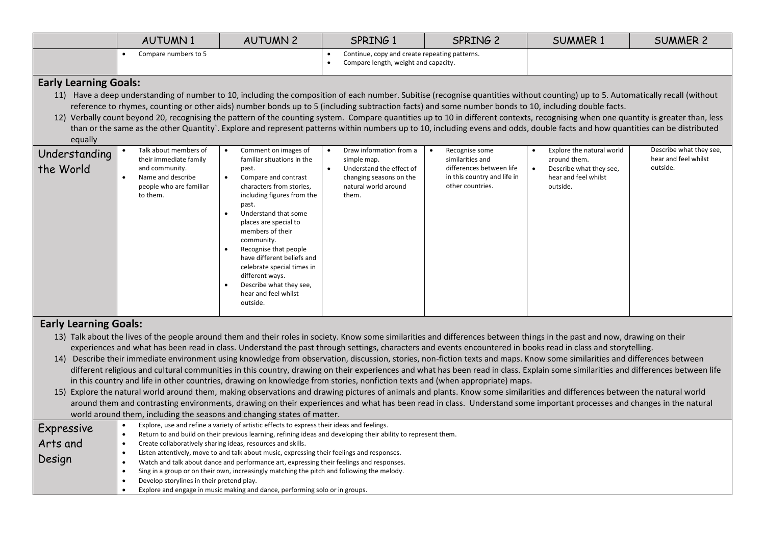|                                         | <b>AUTUMN1</b>                                                                                                                | <b>AUTUMN 2</b>                                                                                                                                                                                                                                                                                                                                                                                                                                                                                                                                                                                                                                                                                                                                                                                                                                                                                                                                                                                                                                                                                                                                                                                                                                                                      | SPRING 1                                                                                                                                    | SPRING 2                                                                                                          | <b>SUMMER 1</b>                                                                                          | <b>SUMMER 2</b>                                             |
|-----------------------------------------|-------------------------------------------------------------------------------------------------------------------------------|--------------------------------------------------------------------------------------------------------------------------------------------------------------------------------------------------------------------------------------------------------------------------------------------------------------------------------------------------------------------------------------------------------------------------------------------------------------------------------------------------------------------------------------------------------------------------------------------------------------------------------------------------------------------------------------------------------------------------------------------------------------------------------------------------------------------------------------------------------------------------------------------------------------------------------------------------------------------------------------------------------------------------------------------------------------------------------------------------------------------------------------------------------------------------------------------------------------------------------------------------------------------------------------|---------------------------------------------------------------------------------------------------------------------------------------------|-------------------------------------------------------------------------------------------------------------------|----------------------------------------------------------------------------------------------------------|-------------------------------------------------------------|
|                                         | Compare numbers to 5                                                                                                          |                                                                                                                                                                                                                                                                                                                                                                                                                                                                                                                                                                                                                                                                                                                                                                                                                                                                                                                                                                                                                                                                                                                                                                                                                                                                                      | Continue, copy and create repeating patterns.<br>Compare length, weight and capacity.<br>$\bullet$                                          |                                                                                                                   |                                                                                                          |                                                             |
| <b>Early Learning Goals:</b><br>equally |                                                                                                                               | 11) Have a deep understanding of number to 10, including the composition of each number. Subitise (recognise quantities without counting) up to 5. Automatically recall (without<br>reference to rhymes, counting or other aids) number bonds up to 5 (including subtraction facts) and some number bonds to 10, including double facts.<br>12) Verbally count beyond 20, recognising the pattern of the counting system. Compare quantities up to 10 in different contexts, recognising when one quantity is greater than, less<br>than or the same as the other Quantity`. Explore and represent patterns within numbers up to 10, including evens and odds, double facts and how quantities can be distributed                                                                                                                                                                                                                                                                                                                                                                                                                                                                                                                                                                    |                                                                                                                                             |                                                                                                                   |                                                                                                          |                                                             |
| Understanding<br>the World              | Talk about members of<br>their immediate family<br>and community.<br>Name and describe<br>people who are familiar<br>to them. | Comment on images of<br>familiar situations in the<br>past.<br>Compare and contrast<br>$\bullet$<br>characters from stories,<br>including figures from the<br>past.<br>Understand that some<br>places are special to<br>members of their<br>community.<br>Recognise that people<br>have different beliefs and<br>celebrate special times in<br>different ways.<br>Describe what they see,<br>hear and feel whilst<br>outside.                                                                                                                                                                                                                                                                                                                                                                                                                                                                                                                                                                                                                                                                                                                                                                                                                                                        | Draw information from a<br>simple map.<br>Understand the effect of<br>$\bullet$<br>changing seasons on the<br>natural world around<br>them. | Recognise some<br>similarities and<br>differences between life<br>in this country and life in<br>other countries. | Explore the natural world<br>around them.<br>Describe what they see,<br>hear and feel whilst<br>outside. | Describe what they see,<br>hear and feel whilst<br>outside. |
| <b>Early Learning Goals:</b>            |                                                                                                                               | 13) Talk about the lives of the people around them and their roles in society. Know some similarities and differences between things in the past and now, drawing on their<br>experiences and what has been read in class. Understand the past through settings, characters and events encountered in books read in class and storytelling.<br>14) Describe their immediate environment using knowledge from observation, discussion, stories, non-fiction texts and maps. Know some similarities and differences between<br>different religious and cultural communities in this country, drawing on their experiences and what has been read in class. Explain some similarities and differences between life<br>in this country and life in other countries, drawing on knowledge from stories, nonfiction texts and (when appropriate) maps.<br>15) Explore the natural world around them, making observations and drawing pictures of animals and plants. Know some similarities and differences between the natural world<br>around them and contrasting environments, drawing on their experiences and what has been read in class. Understand some important processes and changes in the natural<br>world around them, including the seasons and changing states of matter. |                                                                                                                                             |                                                                                                                   |                                                                                                          |                                                             |
| Expressive<br>Arts and<br>Design        | $\bullet$<br>$\bullet$<br>Develop storylines in their pretend play.                                                           | Explore, use and refine a variety of artistic effects to express their ideas and feelings.<br>Return to and build on their previous learning, refining ideas and developing their ability to represent them.<br>Create collaboratively sharing ideas, resources and skills.<br>Listen attentively, move to and talk about music, expressing their feelings and responses.<br>Watch and talk about dance and performance art, expressing their feelings and responses.<br>Sing in a group or on their own, increasingly matching the pitch and following the melody.<br>Explore and engage in music making and dance, performing solo or in groups.                                                                                                                                                                                                                                                                                                                                                                                                                                                                                                                                                                                                                                   |                                                                                                                                             |                                                                                                                   |                                                                                                          |                                                             |